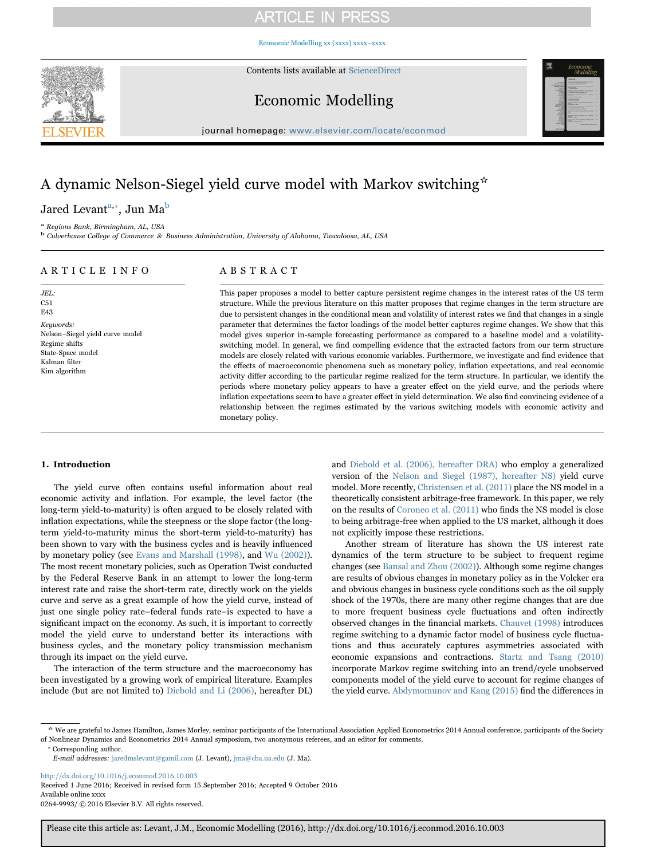# **ARTICLE IN PRESS**

[Economic Modelling xx \(xxxx\) xxxx–xxxx](http://dx.doi.org/10.1016/j.econmod.2016.10.003)



Contents lists available at [ScienceDirect](http://www.sciencedirect.com/science/journal/02649993)

## Economic Modelling



journal homepage: [www.elsevier.com/locate/econmod](http://www.elsevier.com/locate/econmod)

# A dynamic Nelson-Siegel yield curve model with Markov switching☆

Jared Levant $^{\mathrm{a},\ast},$  Jun Ma $^{\mathrm{b}}$ 

<sup>a</sup> Regions Bank, Birmingham, AL, USA

<sup>b</sup> Culverhouse College of Commerce & Business Administration, University of Alabama, Tuscaloosa, AL, USA

### ARTICLE INFO

JEL: C<sub>51</sub> E43 Keywords: Nelson–Siegel yield curve model Regime shifts State-Space model Kalman filter Kim algorithm

### ABSTRACT

This paper proposes a model to better capture persistent regime changes in the interest rates of the US term structure. While the previous literature on this matter proposes that regime changes in the term structure are due to persistent changes in the conditional mean and volatility of interest rates we find that changes in a single parameter that determines the factor loadings of the model better captures regime changes. We show that this model gives superior in-sample forecasting performance as compared to a baseline model and a volatilityswitching model. In general, we find compelling evidence that the extracted factors from our term structure models are closely related with various economic variables. Furthermore, we investigate and find evidence that the effects of macroeconomic phenomena such as monetary policy, inflation expectations, and real economic activity differ according to the particular regime realized for the term structure. In particular, we identify the periods where monetary policy appears to have a greater effect on the yield curve, and the periods where inflation expectations seem to have a greater effect in yield determination. We also find convincing evidence of a relationship between the regimes estimated by the various switching models with economic activity and monetary policy.

### 1. Introduction

The yield curve often contains useful information about real economic activity and inflation. For example, the level factor (the long-term yield-to-maturity) is often argued to be closely related with inflation expectations, while the steepness or the slope factor (the longterm yield-to-maturity minus the short-term yield-to-maturity) has been shown to vary with the business cycles and is heavily influenced by monetary policy (see Evans and Marshall (1998), and Wu (2002)). The most recent monetary policies, such as Operation Twist conducted by the Federal Reserve Bank in an attempt to lower the long-term interest rate and raise the short-term rate, directly work on the yields curve and serve as a great example of how the yield curve, instead of just one single policy rate–federal funds rate–is expected to have a significant impact on the economy. As such, it is important to correctly model the yield curve to understand better its interactions with business cycles, and the monetary policy transmission mechanism through its impact on the yield curve.

The interaction of the term structure and the macroeconomy has been investigated by a growing work of empirical literature. Examples include (but are not limited to) Diebold and Li (2006), hereafter DL) and Diebold et al. (2006), hereafter DRA) who employ a generalized version of the Nelson and Siegel (1987), hereafter NS) yield curve model. More recently, Christensen et al. (2011) place the NS model in a theoretically consistent arbitrage-free framework. In this paper, we rely on the results of Coroneo et al. (2011) who finds the NS model is close to being arbitrage-free when applied to the US market, although it does not explicitly impose these restrictions.

Another stream of literature has shown the US interest rate dynamics of the term structure to be subject to frequent regime changes (see Bansal and Zhou (2002)). Although some regime changes are results of obvious changes in monetary policy as in the Volcker era and obvious changes in business cycle conditions such as the oil supply shock of the 1970s, there are many other regime changes that are due to more frequent business cycle fluctuations and often indirectly observed changes in the financial markets. Chauvet (1998) introduces regime switching to a dynamic factor model of business cycle fluctuations and thus accurately captures asymmetries associated with economic expansions and contractions. Startz and Tsang (2010) incorporate Markov regime switching into an trend/cycle unobserved components model of the yield curve to account for regime changes of the yield curve. Abdymomunov and Kang (2015) find the differences in

<http://dx.doi.org/10.1016/j.econmod.2016.10.003> Received 1 June 2016; Received in revised form 15 September 2016; Accepted 9 October 2016

Available online xxxx

0264-9993/ © 2016 Elsevier B.V. All rights reserved.

<sup>☆</sup> We are grateful to James Hamilton, James Morley, seminar participants of the International Association Applied Econometrics 2014 Annual conference, participants of the Society of Nonlinear Dynamics and Econometrics 2014 Annual symposium, two anonymous referees, and an editor for comments.<br>
<sup>\*</sup> Corresponding author.

E-mail addresses: jaredmslevant@gamil.com (J. Levant), jma@cba.ua.edu (J. Ma).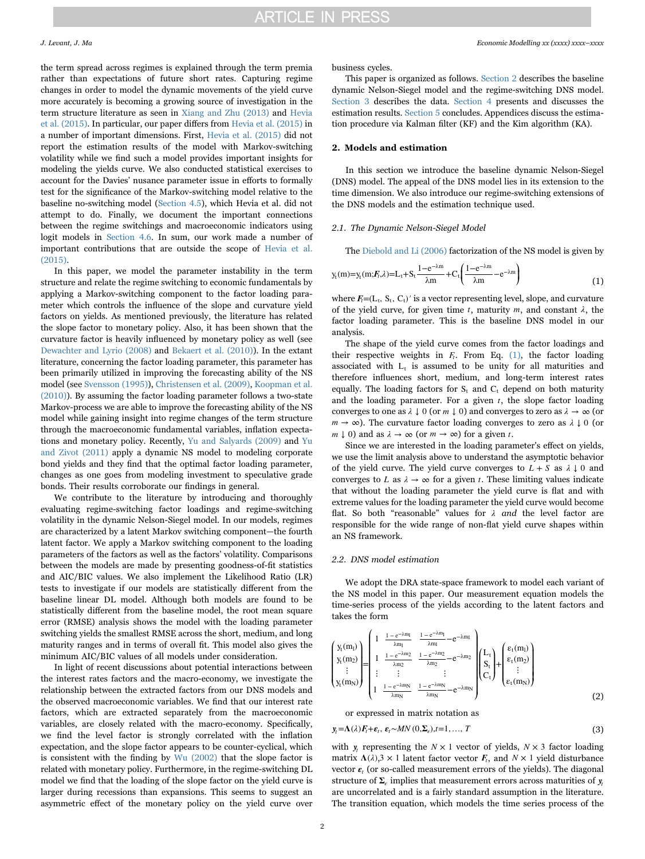the term spread across regimes is explained through the term premia rather than expectations of future short rates. Capturing regime changes in order to model the dynamic movements of the yield curve more accurately is becoming a growing source of investigation in the term structure literature as seen in Xiang and Zhu (2013) and Hevia et al. (2015). In particular, our paper differs from Hevia et al. (2015) in a number of important dimensions. First, Hevia et al. (2015) did not report the estimation results of the model with Markov-switching volatility while we find such a model provides important insights for modeling the yields curve. We also conducted statistical exercises to account for the Davies' nusance parameter issue in efforts to formally test for the significance of the Markov-switching model relative to the baseline no-switching model (Section 4.5), which Hevia et al. did not attempt to do. Finally, we document the important connections between the regime switchings and macroeconomic indicators using logit models in Section 4.6. In sum, our work made a number of important contributions that are outside the scope of Hevia et al. (2015).

In this paper, we model the parameter instability in the term structure and relate the regime switching to economic fundamentals by applying a Markov-switching component to the factor loading parameter which controls the influence of the slope and curvature yield factors on yields. As mentioned previously, the literature has related the slope factor to monetary policy. Also, it has been shown that the curvature factor is heavily influenced by monetary policy as well (see Dewachter and Lyrio (2008) and Bekaert et al. (2010)). In the extant literature, concerning the factor loading parameter, this parameter has been primarily utilized in improving the forecasting ability of the NS model (see Svensson (1995)), Christensen et al. (2009), Koopman et al. (2010)). By assuming the factor loading parameter follows a two-state Markov-process we are able to improve the forecasting ability of the NS model while gaining insight into regime changes of the term structure through the macroeconomic fundamental variables, inflation expectations and monetary policy. Recently, Yu and Salyards (2009) and Yu and Zivot (2011) apply a dynamic NS model to modeling corporate bond yields and they find that the optimal factor loading parameter, changes as one goes from modeling investment to speculative grade bonds. Their results corroborate our findings in general.

We contribute to the literature by introducing and thoroughly evaluating regime-switching factor loadings and regime-switching volatility in the dynamic Nelson-Siegel model. In our models, regimes are characterized by a latent Markov switching component—the fourth latent factor. We apply a Markov switching component to the loading parameters of the factors as well as the factors' volatility. Comparisons between the models are made by presenting goodness-of-fit statistics and AIC/BIC values. We also implement the Likelihood Ratio (LR) tests to investigate if our models are statistically different from the baseline linear DL model. Although both models are found to be statistically different from the baseline model, the root mean square error (RMSE) analysis shows the model with the loading parameter switching yields the smallest RMSE across the short, medium, and long maturity ranges and in terms of overall fit. This model also gives the minimum AIC/BIC values of all models under consideration.

In light of recent discussions about potential interactions between the interest rates factors and the macro-economy, we investigate the relationship between the extracted factors from our DNS models and the observed macroeconomic variables. We find that our interest rate factors, which are extracted separately from the macroeconomic variables, are closely related with the macro-economy. Specifically, we find the level factor is strongly correlated with the inflation expectation, and the slope factor appears to be counter-cyclical, which is consistent with the finding by Wu (2002) that the slope factor is related with monetary policy. Furthermore, in the regime-switching DL model we find that the loading of the slope factor on the yield curve is larger during recessions than expansions. This seems to suggest an asymmetric effect of the monetary policy on the yield curve over business cycles.

This paper is organized as follows. Section 2 describes the baseline dynamic Nelson-Siegel model and the regime-switching DNS model. Section 3 describes the data. Section 4 presents and discusses the estimation results. Section 5 concludes. Appendices discuss the estimation procedure via Kalman filter (KF) and the Kim algorithm (KA).

#### 2. Models and estimation

In this section we introduce the baseline dynamic Nelson-Siegel (DNS) model. The appeal of the DNS model lies in its extension to the time dimension. We also introduce our regime-switching extensions of the DNS models and the estimation technique used.

#### 2.1. The Dynamic Nelson-Siegel Model

The Diebold and Li (2006) factorization of the NS model is given by

$$
y_t(m)=y_t(m;F_t,\lambda)=L_t+S_t\frac{1-e^{-\lambda m}}{\lambda m}+C_t\left(\frac{1-e^{-\lambda m}}{\lambda m}-e^{-\lambda m}\right)
$$
\n(1)

where  $F=(L_t, S_t, C_t)'$  is a vector representing level, slope, and curvature of the yield curve, for given time *t*, maturity *m*, and constant  $\lambda$ , the factor loading parameter. This is the baseline DNS model in our analysis.

The shape of the yield curve comes from the factor loadings and their respective weights in  $F_t$ . From Eq. (1), the factor loading associated with  $L_t$  is assumed to be unity for all maturities and therefore influences short, medium, and long-term interest rates equally. The loading factors for  $S_t$  and  $C_t$  depend on both maturity and the loading parameter. For a given *t*, the slope factor loading converges to one as  $\lambda \downarrow 0$  (or  $m \downarrow 0$ ) and converges to zero as  $\lambda \rightarrow \infty$  (or *m* → ∞). The curvature factor loading converges to zero as *λ* ↓ 0 (or  $m \downarrow 0$ ) and as  $\lambda \to \infty$  (or  $m \to \infty$ ) for a given *t*.

Since we are interested in the loading parameter's effect on yields, we use the limit analysis above to understand the asymptotic behavior of the yield curve. The yield curve converges to  $L + S$  as  $\lambda \downarrow 0$  and converges to *L* as  $\lambda \to \infty$  for a given *t*. These limiting values indicate that without the loading parameter the yield curve is flat and with extreme values for the loading parameter the yield curve would become flat. So both "reasonable" values for *λ* and the level factor are responsible for the wide range of non-flat yield curve shapes within an NS framework.

#### 2.2. DNS model estimation

We adopt the DRA state-space framework to model each variant of the NS model in this paper. Our measurement equation models the time-series process of the yields according to the latent factors and takes the form

$$
\begin{pmatrix} y_t(m_l) \\ y_t(m_2) \\ \vdots \\ y_t(m_N) \end{pmatrix} = \begin{pmatrix} 1 & \frac{1 - e^{-\lambda m_l}}{\lambda m_l} & \frac{1 - e^{-\lambda m_l}}{\lambda m_l} - e^{-\lambda m_l} \\ 1 & \frac{1 - e^{-\lambda m_2}}{\lambda m_2} & \frac{1 - e^{-\lambda m_2}}{\lambda m_2} - e^{-\lambda m_2} \\ \vdots & \vdots & \vdots \\ 1 & \frac{1 - e^{-\lambda m_N}}{\lambda m_N} & \frac{1 - e^{-\lambda m_N}}{\lambda m_N} - e^{-\lambda m_N} \end{pmatrix} \begin{pmatrix} L_t \\ S_t \\ \vdots \\ C_t \end{pmatrix} + \begin{pmatrix} \epsilon_t(m_l) \\ \epsilon_t(m_2) \\ \vdots \\ \epsilon_t(m_N) \end{pmatrix}
$$
(2)

or expressed in matrix notation as

$$
\mathbf{y}_t = \Lambda(\lambda) \mathbf{F}_t + \mathbf{\varepsilon}_t, \ \mathbf{\varepsilon}_t \sim MN(0, \Sigma_\varepsilon), t = 1, \dots, T \tag{3}
$$

with *y*<sub>*t*</sub> representing the  $N \times 1$  vector of yields,  $N \times 3$  factor loading matrix  $\Lambda(\lambda), 3 \times 1$  latent factor vector  $F_t$ , and  $N \times 1$  yield disturbance vector  $\varepsilon$ <sup>*t*</sup> (or so-called measurement errors of the yields). The diagonal structure of  $\Sigma$ <sub>*ε*</sub> implies that measurement errors across maturities of  $y$ *t* are uncorrelated and is a fairly standard assumption in the literature. The transition equation, which models the time series process of the